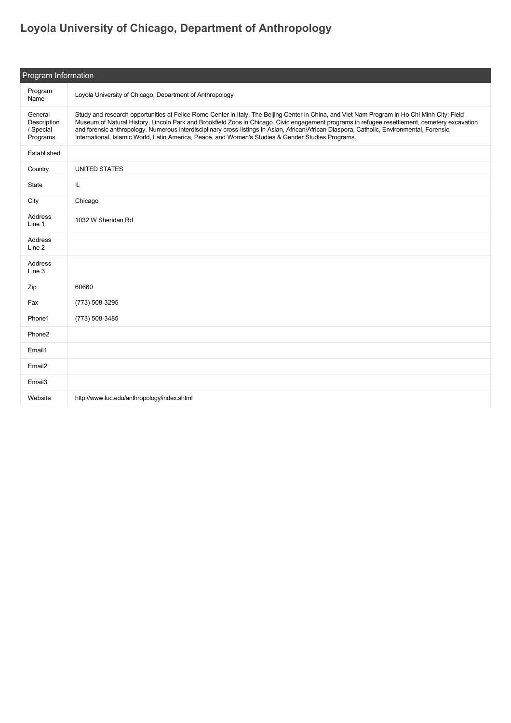## **[Loyola University of Chicago, Department of Anthropology](https://guide.americananthro.org/438/Loyola-University-of-Chicago-Department-of-Anthropology)**

| Program Information                             |                                                                                                                                                                                                                                                                                                                                                                                                                                                                                                                                                      |  |
|-------------------------------------------------|------------------------------------------------------------------------------------------------------------------------------------------------------------------------------------------------------------------------------------------------------------------------------------------------------------------------------------------------------------------------------------------------------------------------------------------------------------------------------------------------------------------------------------------------------|--|
| Program<br>Name                                 | Loyola University of Chicago, Department of Anthropology                                                                                                                                                                                                                                                                                                                                                                                                                                                                                             |  |
| General<br>Description<br>/ Special<br>Programs | Study and research opportunities at Felice Rome Center in Italy, The Beijing Center in China, and Viet Nam Program in Ho Chi Minh City; Field<br>Museum of Natural History, Lincoln Park and Brookfield Zoos in Chicago. Civic engagement programs in refugee resettlement, cemetery excavation<br>and forensic anthropology. Numerous interdisciplinary cross-listings in Asian, African/African Diaspora, Catholic, Environmental, Forensic,<br>International, Islamic World, Latin America, Peace, and Women's Studies & Gender Studies Programs. |  |
| Established                                     |                                                                                                                                                                                                                                                                                                                                                                                                                                                                                                                                                      |  |
| Country                                         | <b>UNITED STATES</b>                                                                                                                                                                                                                                                                                                                                                                                                                                                                                                                                 |  |
| State                                           | L                                                                                                                                                                                                                                                                                                                                                                                                                                                                                                                                                    |  |
| City                                            | Chicago                                                                                                                                                                                                                                                                                                                                                                                                                                                                                                                                              |  |
| Address<br>Line 1                               | 1032 W Sheridan Rd                                                                                                                                                                                                                                                                                                                                                                                                                                                                                                                                   |  |
| Address<br>Line 2                               |                                                                                                                                                                                                                                                                                                                                                                                                                                                                                                                                                      |  |
| Address<br>Line 3                               |                                                                                                                                                                                                                                                                                                                                                                                                                                                                                                                                                      |  |
| Zip                                             | 60660                                                                                                                                                                                                                                                                                                                                                                                                                                                                                                                                                |  |
| Fax                                             | (773) 508-3295                                                                                                                                                                                                                                                                                                                                                                                                                                                                                                                                       |  |
| Phone1                                          | (773) 508-3485                                                                                                                                                                                                                                                                                                                                                                                                                                                                                                                                       |  |
| Phone2                                          |                                                                                                                                                                                                                                                                                                                                                                                                                                                                                                                                                      |  |
| Email1                                          |                                                                                                                                                                                                                                                                                                                                                                                                                                                                                                                                                      |  |
| Email <sub>2</sub>                              |                                                                                                                                                                                                                                                                                                                                                                                                                                                                                                                                                      |  |
| Email <sub>3</sub>                              |                                                                                                                                                                                                                                                                                                                                                                                                                                                                                                                                                      |  |
| Website                                         | http://www.luc.edu/anthropology/index.shtml                                                                                                                                                                                                                                                                                                                                                                                                                                                                                                          |  |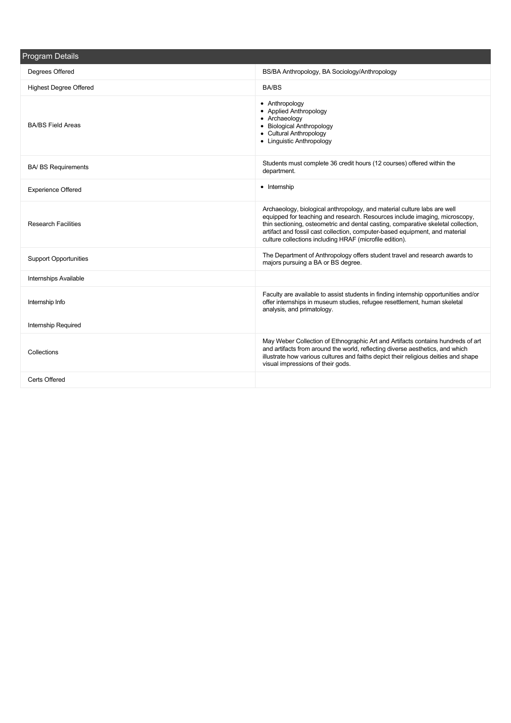| <b>Program Details</b>        |                                                                                                                                                                                                                                                                                                                                                                                       |  |  |
|-------------------------------|---------------------------------------------------------------------------------------------------------------------------------------------------------------------------------------------------------------------------------------------------------------------------------------------------------------------------------------------------------------------------------------|--|--|
| Degrees Offered               | BS/BA Anthropology, BA Sociology/Anthropology                                                                                                                                                                                                                                                                                                                                         |  |  |
| <b>Highest Degree Offered</b> | <b>BA/BS</b>                                                                                                                                                                                                                                                                                                                                                                          |  |  |
| <b>BA/BS Field Areas</b>      | • Anthropology<br>• Applied Anthropology<br>• Archaeology<br>• Biological Anthropology<br>• Cultural Anthropology<br>• Linquistic Anthropology                                                                                                                                                                                                                                        |  |  |
| <b>BA/ BS Requirements</b>    | Students must complete 36 credit hours (12 courses) offered within the<br>department.                                                                                                                                                                                                                                                                                                 |  |  |
| <b>Experience Offered</b>     | • Internship                                                                                                                                                                                                                                                                                                                                                                          |  |  |
| <b>Research Facilities</b>    | Archaeology, biological anthropology, and material culture labs are well<br>equipped for teaching and research. Resources include imaging, microscopy,<br>thin sectioning, osteometric and dental casting, comparative skeletal collection,<br>artifact and fossil cast collection, computer-based equipment, and material<br>culture collections including HRAF (microfile edition). |  |  |
| <b>Support Opportunities</b>  | The Department of Anthropology offers student travel and research awards to<br>majors pursuing a BA or BS degree.                                                                                                                                                                                                                                                                     |  |  |
| Internships Available         |                                                                                                                                                                                                                                                                                                                                                                                       |  |  |
| Internship Info               | Faculty are available to assist students in finding internship opportunities and/or<br>offer internships in museum studies, refugee resettlement, human skeletal<br>analysis, and primatology.                                                                                                                                                                                        |  |  |
| Internship Required           |                                                                                                                                                                                                                                                                                                                                                                                       |  |  |
| Collections                   | May Weber Collection of Ethnographic Art and Artifacts contains hundreds of art<br>and artifacts from around the world, reflecting diverse aesthetics, and which<br>illustrate how various cultures and faiths depict their religious deities and shape<br>visual impressions of their gods.                                                                                          |  |  |
| Certs Offered                 |                                                                                                                                                                                                                                                                                                                                                                                       |  |  |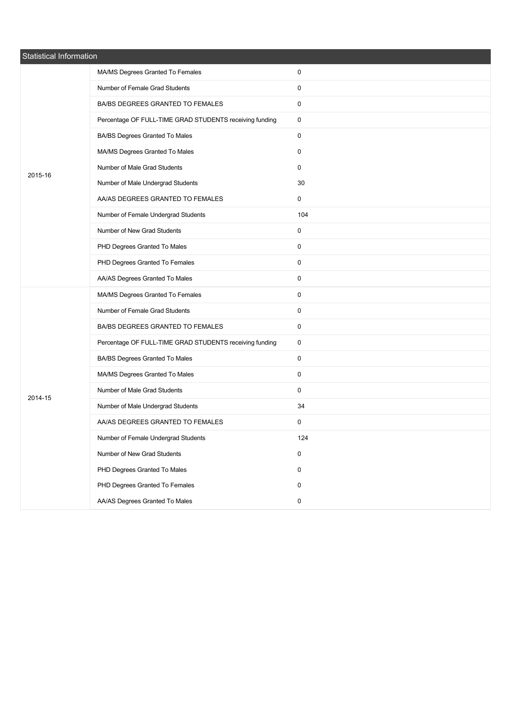| Statistical Information |                                                         |           |  |
|-------------------------|---------------------------------------------------------|-----------|--|
|                         | MA/MS Degrees Granted To Females                        | 0         |  |
|                         | Number of Female Grad Students                          | 0         |  |
|                         | BA/BS DEGREES GRANTED TO FEMALES                        | 0         |  |
|                         | Percentage OF FULL-TIME GRAD STUDENTS receiving funding | 0         |  |
|                         | BA/BS Degrees Granted To Males                          | 0         |  |
|                         | MA/MS Degrees Granted To Males                          | 0         |  |
| 2015-16                 | Number of Male Grad Students                            | 0         |  |
|                         | Number of Male Undergrad Students                       | 30        |  |
|                         | AA/AS DEGREES GRANTED TO FEMALES                        | 0         |  |
|                         | Number of Female Undergrad Students                     | 104       |  |
|                         | Number of New Grad Students                             | 0         |  |
|                         | PHD Degrees Granted To Males                            | 0         |  |
|                         | PHD Degrees Granted To Females                          | 0         |  |
|                         | AA/AS Degrees Granted To Males                          | 0         |  |
|                         | MA/MS Degrees Granted To Females                        | 0         |  |
|                         | Number of Female Grad Students                          | 0         |  |
|                         | BA/BS DEGREES GRANTED TO FEMALES                        | 0         |  |
|                         | Percentage OF FULL-TIME GRAD STUDENTS receiving funding | 0         |  |
|                         | BA/BS Degrees Granted To Males                          | 0         |  |
|                         | MA/MS Degrees Granted To Males                          | 0         |  |
| 2014-15                 | Number of Male Grad Students                            | 0         |  |
|                         | Number of Male Undergrad Students                       | 34        |  |
|                         | AA/AS DEGREES GRANTED TO FEMALES                        | 0         |  |
|                         | Number of Female Undergrad Students                     | 124       |  |
|                         | Number of New Grad Students                             | 0         |  |
|                         | PHD Degrees Granted To Males                            | $\pmb{0}$ |  |
|                         | PHD Degrees Granted To Females                          | 0         |  |
|                         | AA/AS Degrees Granted To Males                          | $\pmb{0}$ |  |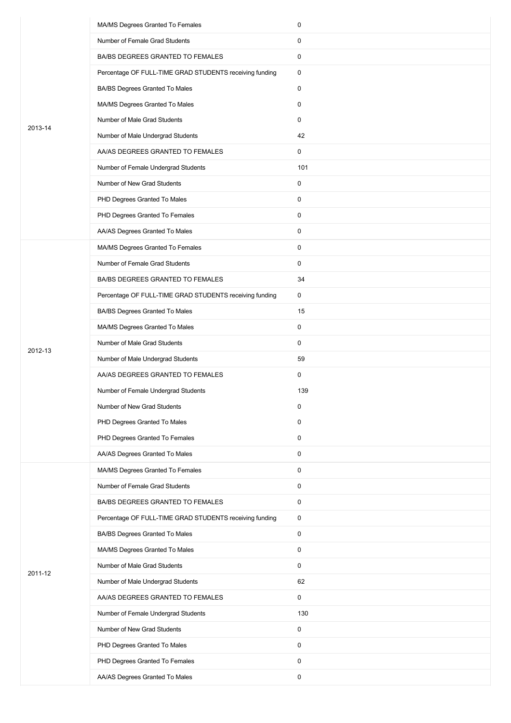|         | MA/MS Degrees Granted To Females                        | 0            |
|---------|---------------------------------------------------------|--------------|
|         | Number of Female Grad Students                          | 0            |
|         | BA/BS DEGREES GRANTED TO FEMALES                        | 0            |
|         | Percentage OF FULL-TIME GRAD STUDENTS receiving funding | 0            |
|         | BA/BS Degrees Granted To Males                          | 0            |
|         | MA/MS Degrees Granted To Males                          | $\mathbf 0$  |
| 2013-14 | Number of Male Grad Students                            | 0            |
|         | Number of Male Undergrad Students                       | 42           |
|         | AA/AS DEGREES GRANTED TO FEMALES                        | 0            |
|         | Number of Female Undergrad Students                     | 101          |
|         | Number of New Grad Students                             | 0            |
|         | PHD Degrees Granted To Males                            | 0            |
|         | PHD Degrees Granted To Females                          | $\mathbf 0$  |
|         | AA/AS Degrees Granted To Males                          | 0            |
|         | MA/MS Degrees Granted To Females                        | 0            |
|         | Number of Female Grad Students                          | 0            |
|         | BA/BS DEGREES GRANTED TO FEMALES                        | 34           |
|         | Percentage OF FULL-TIME GRAD STUDENTS receiving funding | 0            |
|         | BA/BS Degrees Granted To Males                          | 15           |
|         | MA/MS Degrees Granted To Males                          | 0            |
| 2012-13 | Number of Male Grad Students                            | 0            |
|         | Number of Male Undergrad Students                       | 59           |
|         | AA/AS DEGREES GRANTED TO FEMALES                        | 0            |
|         | Number of Female Undergrad Students                     | 139          |
|         | Number of New Grad Students                             | 0            |
|         | PHD Degrees Granted To Males                            | 0            |
|         | PHD Degrees Granted To Females                          | $\mathsf{O}$ |
|         | AA/AS Degrees Granted To Males                          | 0            |
|         | MA/MS Degrees Granted To Females                        | 0            |
|         | Number of Female Grad Students                          | 0            |
|         | BA/BS DEGREES GRANTED TO FEMALES                        | 0            |
|         | Percentage OF FULL-TIME GRAD STUDENTS receiving funding | 0            |
|         | BA/BS Degrees Granted To Males                          | 0            |
|         | MA/MS Degrees Granted To Males                          | 0            |
| 2011-12 | Number of Male Grad Students                            | 0            |
|         | Number of Male Undergrad Students                       | 62           |
|         | AA/AS DEGREES GRANTED TO FEMALES                        | $\mathsf{O}$ |
|         | Number of Female Undergrad Students                     | 130          |
|         | Number of New Grad Students                             | $\mathsf{O}$ |
|         | PHD Degrees Granted To Males                            | 0            |
|         | PHD Degrees Granted To Females                          | 0            |
|         | AA/AS Degrees Granted To Males                          | 0            |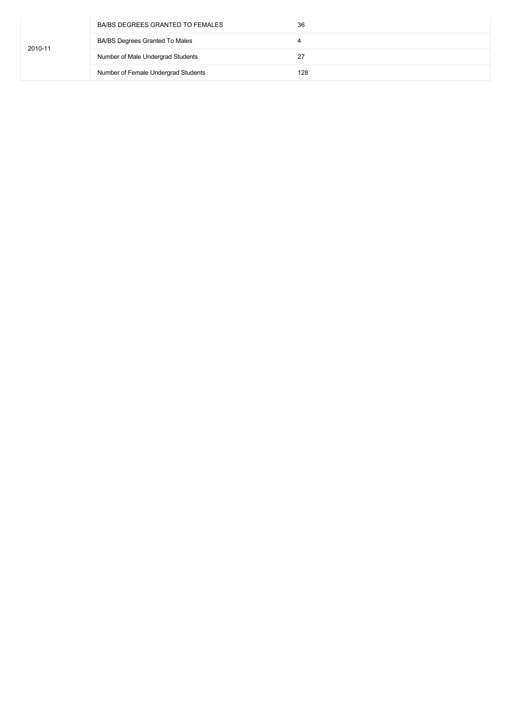|         | BA/BS DEGREES GRANTED TO FEMALES      | 36  |
|---------|---------------------------------------|-----|
| 2010-11 | <b>BA/BS Degrees Granted To Males</b> | 4   |
|         | Number of Male Undergrad Students     | 27  |
|         | Number of Female Undergrad Students   | 128 |